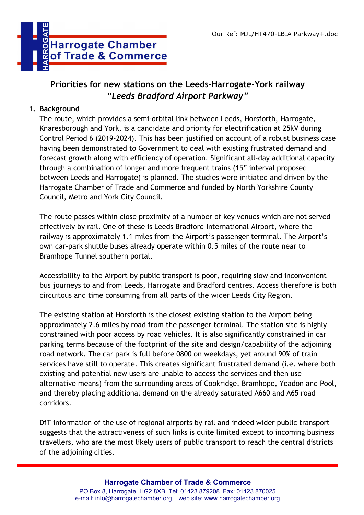

# **Priorities for new stations on the Leeds-Harrogate-York railway**  *"Leeds Bradford Airport Parkway"*

#### **1. Background**

The route, which provides a semi-orbital link between Leeds, Horsforth, Harrogate, Knaresborough and York, is a candidate and priority for electrification at 25kV during Control Period 6 (2019-2024). This has been justified on account of a robust business case having been demonstrated to Government to deal with existing frustrated demand and forecast growth along with efficiency of operation. Significant all-day additional capacity through a combination of longer and more frequent trains (15" interval proposed between Leeds and Harrogate) is planned. The studies were initiated and driven by the Harrogate Chamber of Trade and Commerce and funded by North Yorkshire County Council, Metro and York City Council.

The route passes within close proximity of a number of key venues which are not served effectively by rail. One of these is Leeds Bradford International Airport, where the railway is approximately 1.1 miles from the Airport's passenger terminal. The Airport's own car-park shuttle buses already operate within 0.5 miles of the route near to Bramhope Tunnel southern portal.

Accessibility to the Airport by public transport is poor, requiring slow and inconvenient bus journeys to and from Leeds, Harrogate and Bradford centres. Access therefore is both circuitous and time consuming from all parts of the wider Leeds City Region.

The existing station at Horsforth is the closest existing station to the Airport being approximately 2.6 miles by road from the passenger terminal. The station site is highly constrained with poor access by road vehicles. It is also significantly constrained in car parking terms because of the footprint of the site and design/capability of the adjoining road network. The car park is full before 0800 on weekdays, yet around 90% of train services have still to operate. This creates significant frustrated demand (i.e. where both existing and potential new users are unable to access the services and then use alternative means) from the surrounding areas of Cookridge, Bramhope, Yeadon and Pool, and thereby placing additional demand on the already saturated A660 and A65 road corridors.

DfT information of the use of regional airports by rail and indeed wider public transport suggests that the attractiveness of such links is quite limited except to incoming business travellers, who are the most likely users of public transport to reach the central districts of the adjoining cities.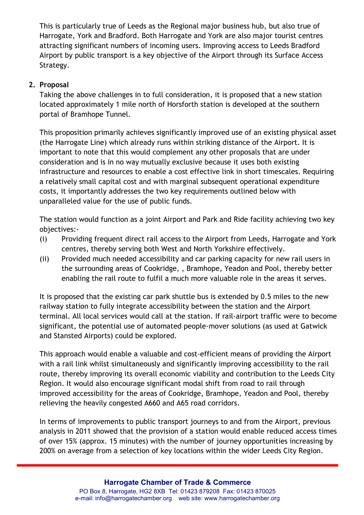This is particularly true of Leeds as the Regional major business hub, but also true of Harrogate, York and Bradford. Both Harrogate and York are also major tourist centres attracting significant numbers of incoming users. Improving access to Leeds Bradford Airport by public transport is a key objective of the Airport through its Surface Access Strategy.

# **2. Proposal**

Taking the above challenges in to full consideration, it is proposed that a new station located approximately 1 mile north of Horsforth station is developed at the southern portal of Bramhope Tunnel.

This proposition primarily achieves significantly improved use of an existing physical asset (the Harrogate Line) which already runs within striking distance of the Airport. It is important to note that this would complement any other proposals that are under consideration and is in no way mutually exclusive because it uses both existing infrastructure and resources to enable a cost effective link in short timescales. Requiring a relatively small capital cost and with marginal subsequent operational expenditure costs, it importantly addresses the two key requirements outlined below with unparalleled value for the use of public funds.

The station would function as a joint Airport and Park and Ride facility achieving two key objectives:-

- (i) Providing frequent direct rail access to the Airport from Leeds, Harrogate and York centres, thereby serving both West and North Yorkshire effectively.
- (ii) Provided much needed accessibility and car parking capacity for new rail users in the surrounding areas of Cookridge, , Bramhope, Yeadon and Pool, thereby better enabling the rail route to fulfil a much more valuable role in the areas it serves.

It is proposed that the existing car park shuttle bus is extended by 0.5 miles to the new railway station to fully integrate accessibility between the station and the Airport terminal. All local services would call at the station. If rail-airport traffic were to become significant, the potential use of automated people-mover solutions (as used at Gatwick and Stansted Airports) could be explored.

This approach would enable a valuable and cost-efficient means of providing the Airport with a rail link whilst simultaneously and significantly improving accessibility to the rail route, thereby improving its overall economic viability and contribution to the Leeds City Region. It would also encourage significant modal shift from road to rail through improved accessibility for the areas of Cookridge, Bramhope, Yeadon and Pool, thereby relieving the heavily congested A660 and A65 road corridors.

In terms of improvements to public transport journeys to and from the Airport, previous analysis in 2011 showed that the provision of a station would enable reduced access times of over 15% (approx. 15 minutes) with the number of journey opportunities increasing by 200% on average from a selection of key locations within the wider Leeds City Region.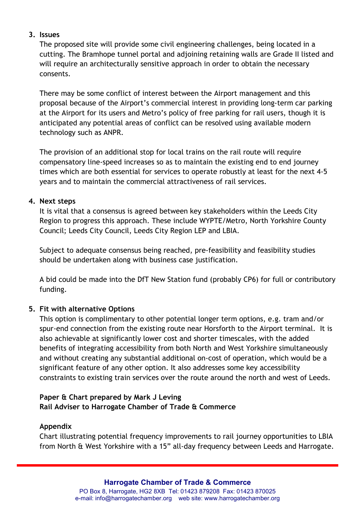#### **3. Issues**

The proposed site will provide some civil engineering challenges, being located in a cutting. The Bramhope tunnel portal and adjoining retaining walls are Grade II listed and will require an architecturally sensitive approach in order to obtain the necessary consents.

There may be some conflict of interest between the Airport management and this proposal because of the Airport's commercial interest in providing long-term car parking at the Airport for its users and Metro's policy of free parking for rail users, though it is anticipated any potential areas of conflict can be resolved using available modern technology such as ANPR.

The provision of an additional stop for local trains on the rail route will require compensatory line-speed increases so as to maintain the existing end to end journey times which are both essential for services to operate robustly at least for the next 4-5 years and to maintain the commercial attractiveness of rail services.

#### **4. Next steps**

It is vital that a consensus is agreed between key stakeholders within the Leeds City Region to progress this approach. These include WYPTE/Metro, North Yorkshire County Council; Leeds City Council, Leeds City Region LEP and LBIA.

Subject to adequate consensus being reached, pre-feasibility and feasibility studies should be undertaken along with business case justification.

A bid could be made into the DfT New Station fund (probably CP6) for full or contributory funding.

# **5. Fit with alternative Options**

This option is complimentary to other potential longer term options, e.g. tram and/or spur-end connection from the existing route near Horsforth to the Airport terminal. It is also achievable at significantly lower cost and shorter timescales, with the added benefits of integrating accessibility from both North and West Yorkshire simultaneously and without creating any substantial additional on-cost of operation, which would be a significant feature of any other option. It also addresses some key accessibility constraints to existing train services over the route around the north and west of Leeds.

### **Paper & Chart prepared by Mark J Leving Rail Adviser to Harrogate Chamber of Trade & Commerce**

#### **Appendix**

Chart illustrating potential frequency improvements to rail journey opportunities to LBIA from North & West Yorkshire with a 15" all-day frequency between Leeds and Harrogate.